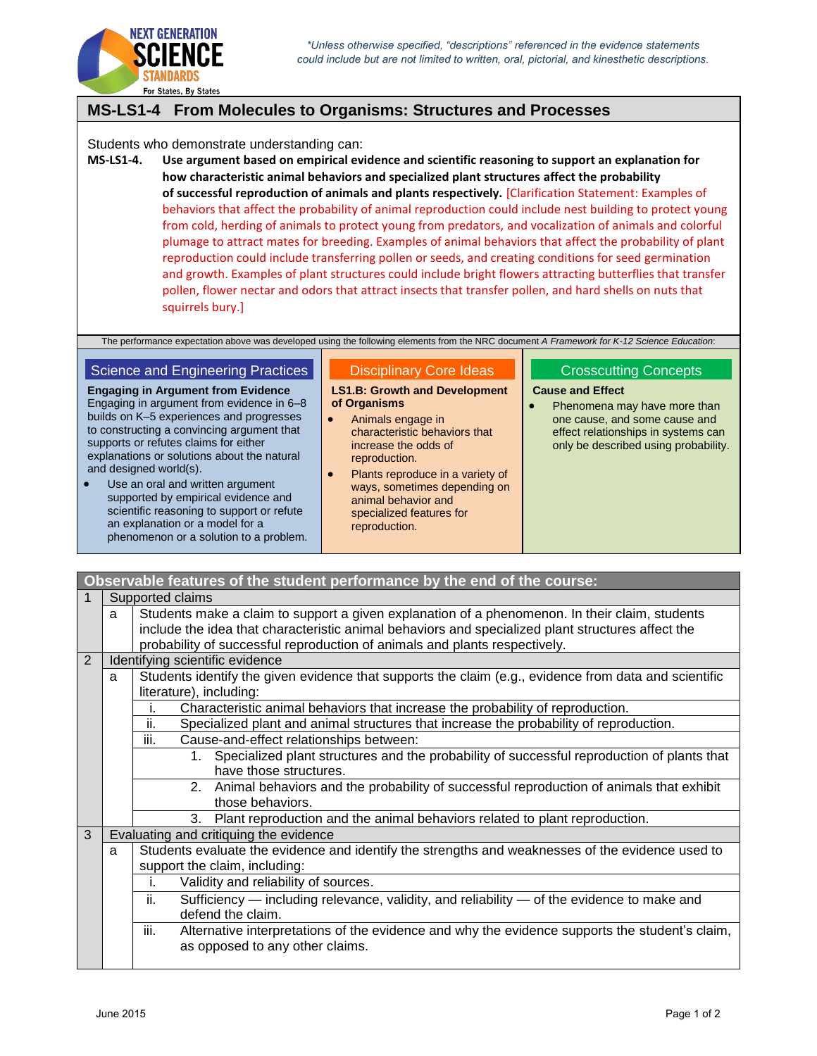

## **MS-LS1-4 From Molecules to Organisms: Structures and Processes**

Students who demonstrate understanding can:

**MS-LS1-4. Use argument based on empirical evidence and scientific reasoning to support an explanation for how characteristic animal behaviors and specialized plant structures affect the probability of successful reproduction of animals and plants respectively.** [Clarification Statement: Examples of behaviors that affect the probability of animal reproduction could include nest building to protect young from cold, herding of animals to protect young from predators, and vocalization of animals and colorful plumage to attract mates for breeding. Examples of animal behaviors that affect the probability of plant reproduction could include transferring pollen or seeds, and creating conditions for seed germination and growth. Examples of plant structures could include bright flowers attracting butterflies that transfer pollen, flower nectar and odors that attract insects that transfer pollen, and hard shells on nuts that squirrels bury.]

The performance expectation above was developed using the following elements from the NRC document *A Framework for K-12 Science Education*:

## Science and Engineering Practices

**Engaging in Argument from Evidence** Engaging in argument from evidence in 6–8 builds on K–5 experiences and progresses to constructing a convincing argument that supports or refutes claims for either explanations or solutions about the natural and designed world(s).

 Use an oral and written argument supported by empirical evidence and scientific reasoning to support or refute an explanation or a model for a phenomenon or a solution to a problem.

## Disciplinary Core Ideas

**LS1.B: Growth and Development of Organisms**

- Animals engage in characteristic behaviors that increase the odds of reproduction.
- Plants reproduce in a variety of ways, sometimes depending on animal behavior and specialized features for reproduction.

## Crosscutting Concepts

**Cause and Effect**

• Phenomena may have more than one cause, and some cause and effect relationships in systems can only be described using probability.

| Observable features of the student performance by the end of the course: |                                                                                                                                                                                                                                                                                        |                                                                                                                                           |  |  |  |
|--------------------------------------------------------------------------|----------------------------------------------------------------------------------------------------------------------------------------------------------------------------------------------------------------------------------------------------------------------------------------|-------------------------------------------------------------------------------------------------------------------------------------------|--|--|--|
| Supported claims                                                         |                                                                                                                                                                                                                                                                                        |                                                                                                                                           |  |  |  |
|                                                                          | Students make a claim to support a given explanation of a phenomenon. In their claim, students<br>a<br>include the idea that characteristic animal behaviors and specialized plant structures affect the<br>probability of successful reproduction of animals and plants respectively. |                                                                                                                                           |  |  |  |
| 2                                                                        |                                                                                                                                                                                                                                                                                        | Identifying scientific evidence                                                                                                           |  |  |  |
|                                                                          | a                                                                                                                                                                                                                                                                                      | Students identify the given evidence that supports the claim (e.g., evidence from data and scientific                                     |  |  |  |
|                                                                          |                                                                                                                                                                                                                                                                                        | literature), including:                                                                                                                   |  |  |  |
|                                                                          |                                                                                                                                                                                                                                                                                        | Characteristic animal behaviors that increase the probability of reproduction.<br>i.                                                      |  |  |  |
|                                                                          |                                                                                                                                                                                                                                                                                        | ii.<br>Specialized plant and animal structures that increase the probability of reproduction.                                             |  |  |  |
|                                                                          |                                                                                                                                                                                                                                                                                        | iii.<br>Cause-and-effect relationships between:                                                                                           |  |  |  |
|                                                                          |                                                                                                                                                                                                                                                                                        | 1. Specialized plant structures and the probability of successful reproduction of plants that<br>have those structures.                   |  |  |  |
|                                                                          |                                                                                                                                                                                                                                                                                        | 2. Animal behaviors and the probability of successful reproduction of animals that exhibit<br>those behaviors.                            |  |  |  |
|                                                                          |                                                                                                                                                                                                                                                                                        | Plant reproduction and the animal behaviors related to plant reproduction.<br>3.                                                          |  |  |  |
| 3                                                                        |                                                                                                                                                                                                                                                                                        | Evaluating and critiquing the evidence                                                                                                    |  |  |  |
|                                                                          | a                                                                                                                                                                                                                                                                                      | Students evaluate the evidence and identify the strengths and weaknesses of the evidence used to                                          |  |  |  |
|                                                                          |                                                                                                                                                                                                                                                                                        | support the claim, including:                                                                                                             |  |  |  |
|                                                                          |                                                                                                                                                                                                                                                                                        | Validity and reliability of sources.<br>i.                                                                                                |  |  |  |
|                                                                          |                                                                                                                                                                                                                                                                                        | Sufficiency — including relevance, validity, and reliability — of the evidence to make and<br>ii.<br>defend the claim.                    |  |  |  |
|                                                                          |                                                                                                                                                                                                                                                                                        | iii.<br>Alternative interpretations of the evidence and why the evidence supports the student's claim,<br>as opposed to any other claims. |  |  |  |
|                                                                          |                                                                                                                                                                                                                                                                                        |                                                                                                                                           |  |  |  |